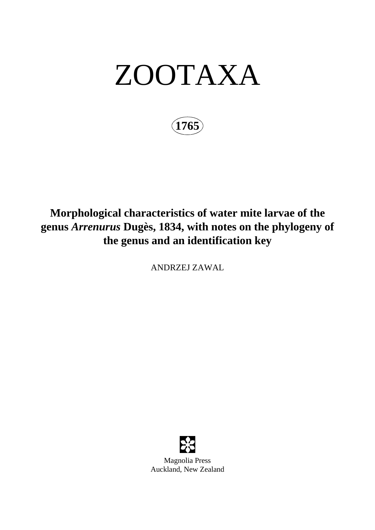# ZOOTAXA

**1765**

## **Morphological characteristics of water mite larvae of the genus** *Arrenurus* **Dugès, 1834, with notes on the phylogeny of the genus and an identification key**

ANDRZEJ ZAWAL



Magnolia Press Auckland, New Zealand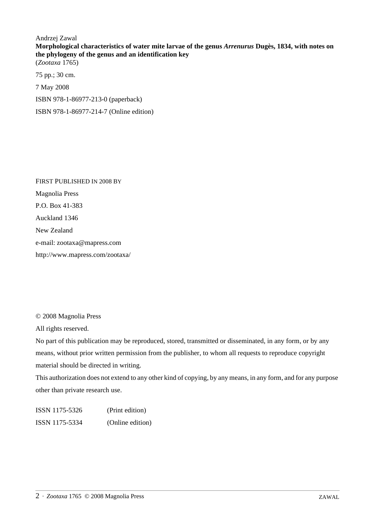Andrzej Zawal **Morphological characteristics of water mite larvae of the genus** *Arrenurus* **Dugès, 1834, with notes on the phylogeny of the genus and an identification key**  (*Zootaxa* 1765)

75 pp.; 30 cm. 7 May 2008 ISBN 978-1-86977-213-0 (paperback) ISBN 978-1-86977-214-7 (Online edition)

FIRST PUBLISHED IN 2008 BY Magnolia Press P.O. Box 41-383 Auckland 1346 New Zealand e-mail: zootaxa@mapress.com http://www.mapress.com/zootaxa/

© 2008 Magnolia Press

All rights reserved.

No part of this publication may be reproduced, stored, transmitted or disseminated, in any form, or by any means, without prior written permission from the publisher, to whom all requests to reproduce copyright material should be directed in writing.

This authorization does not extend to any other kind of copying, by any means, in any form, and for any purpose other than private research use.

ISSN 1175-5326 (Print edition) ISSN 1175-5334 (Online edition)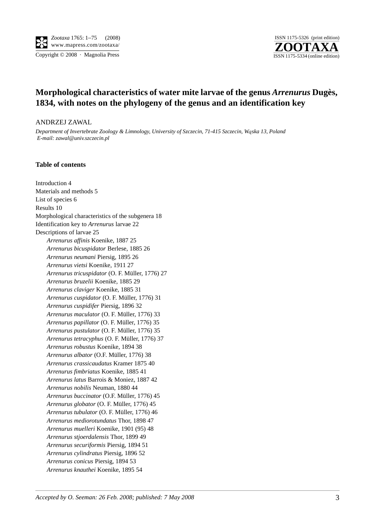

Copyright © 2008 · Magnolia Press ISSN 1175-5334 (online edition)



### **Morphological characteristics of water mite larvae of the genus** *Arrenurus* **Dugès, 1834, with notes on the phylogeny of the genus and an identification key**

#### ANDRZEJ ZAWAL

*Department of Invertebrate Zoology & Limnology, University of Szczecin, 71-415 Szczecin, W*ą*ska 13, Poland E-mail: zawal@univ.szczecin.pl*

#### **Table of contents**

Introduction 4 Materials and methods 5 List of species 6 Results 10 Morphological characteristics of the subgenera 18 Identification key to *Arrenurus* larvae 22 Descriptions of larvae 25 *Arrenurus affinis* Koenike, 1887 25 *Arrenurus bicuspidator* Berlese, 1885 26 *Arrenurus neumani* Piersig, 1895 26 *Arrenurus vietsi* Koenike, 1911 27 *Arrenurus tricuspidator* (O. F. Müller, 1776) 27 *Arrenurus bruzelii* Koenike, 1885 29 *Arrenurus claviger* Koenike, 1885 31 *Arrenurus cuspidator* (O. F. Müller, 1776) 31 *Arrenurus cuspidifer* Piersig, 1896 32 *Arrenurus maculator* (O. F. Müller, 1776) 33 *Arrenurus papillator* (O. F. Müller, 1776) 35 *Arrenurus pustulator* (O. F. Müller, 1776) 35 *Arrenurus tetracyphus* (O. F. Müller, 1776) 37 *Arrenurus robustus* Koenike, 1894 38 *Arrenurus albator* (O.F. Müller, 1776) 38 *Arrenurus crassicaudatus* Kramer 1875 40 *Arrenurus fimbriatus* Koenike, 1885 41 *Arrenurus latus* Barrois & Moniez, 1887 42 *Arrenurus nobilis* Neuman, 1880 44 *Arrenurus buccinator* (O.F. Müller, 1776) 45 *Arrenurus globator* (O. F. Müller, 1776) 45 *Arrenurus tubulator* (O. F. Müller, 1776) 46 *Arrenurus mediorotundatus* Thor, 1898 47 *Arrenurus muelleri* Koenike, 1901 (95) 48 *Arrenurus stjoerdalensis* Thor, 1899 49 *Arrenurus securiformis* Piersig, 1894 51 *Arrenurus cylindratus* Piersig, 1896 52 *Arrenurus conicus* Piersig, 1894 53 *Arrenurus knauthei* Koenike, 1895 54